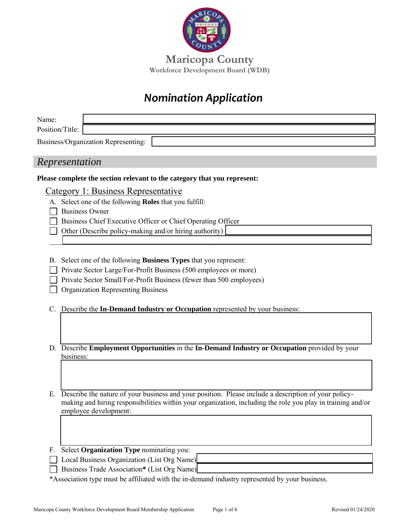

**Maricopa County Workforce Development Board (WDB)**

# *Nomination Application*

| Name:                                                                                                                                |  |  |
|--------------------------------------------------------------------------------------------------------------------------------------|--|--|
| Position/Title:                                                                                                                      |  |  |
| Business/Organization Representing:                                                                                                  |  |  |
|                                                                                                                                      |  |  |
| Representation                                                                                                                       |  |  |
| Please complete the section relevant to the category that you represent:                                                             |  |  |
| Category 1: Business Representative                                                                                                  |  |  |
| A. Select one of the following Roles that you fulfill:                                                                               |  |  |
| <b>Business Owner</b>                                                                                                                |  |  |
| Business Chief Executive Officer or Chief Operating Officer                                                                          |  |  |
| Other (Describe policy-making and/or hiring authority)                                                                               |  |  |
|                                                                                                                                      |  |  |
|                                                                                                                                      |  |  |
| Select one of the following Business Types that you represent:<br>В.                                                                 |  |  |
| Private Sector Large/For-Profit Business (500 employees or more)                                                                     |  |  |
| Private Sector Small/For-Profit Business (fewer than 500 employees)                                                                  |  |  |
| <b>Organization Representing Business</b>                                                                                            |  |  |
| Describe the In-Demand Industry or Occupation represented by your business:<br>C.                                                    |  |  |
|                                                                                                                                      |  |  |
|                                                                                                                                      |  |  |
|                                                                                                                                      |  |  |
| D. Describe Employment Opportunities in the In-Demand Industry or Occupation provided by your                                        |  |  |
| business:                                                                                                                            |  |  |
|                                                                                                                                      |  |  |
|                                                                                                                                      |  |  |
|                                                                                                                                      |  |  |
| Describe the nature of your business and your position. Please include a description of your policy-<br>Е.                           |  |  |
| making and hiring responsibilities within your organization, including the role you play in training and/or<br>employee development: |  |  |
|                                                                                                                                      |  |  |
|                                                                                                                                      |  |  |
|                                                                                                                                      |  |  |
| Select Organization Type nominating you:<br>F.                                                                                       |  |  |
| Local Business Organization (List Org Name)                                                                                          |  |  |
| Business Trade Association* (List Org Name)                                                                                          |  |  |
| *Association type must be affiliated with the in-demand industry represented by your business.                                       |  |  |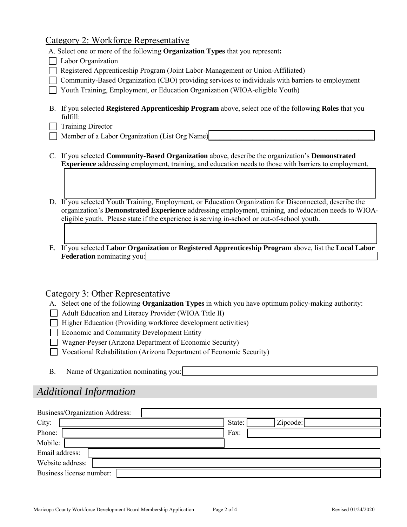### Category 2: Workforce Representative

A. Select one or more of the following **Organization Types** that you represent**:**

- Labor Organization
- Registered Apprenticeship Program (Joint Labor-Management or Union-Affiliated)
- Community-Based Organization (CBO) providing services to individuals with barriers to employment
- Youth Training, Employment, or Education Organization (WIOA-eligible Youth)
- B. If you selected **Registered Apprenticeship Program** above, select one of the following **Roles** that you fulfill:
- $\Box$  Training Director
- Member of a Labor Organization (List Org Name)
- C. If you selected **Community-Based Organization** above, describe the organization's **Demonstrated Experience** addressing employment, training, and education needs to those with barriers to employment.
- D. If you selected Youth Training, Employment, or Education Organization for Disconnected, describe the organization's **Demonstrated Experience** addressing employment, training, and education needs to WIOAeligible youth. Please state if the experience is serving in-school or out-of-school youth.
- E. If you selected **Labor Organization** or **Registered Apprenticeship Program** above, list the **Local Labor Federation** nominating you:

### Category 3: Other Representative

- A. Select one of the following **Organization Types** in which you have optimum policy-making authority:
- $\Box$  Adult Education and Literacy Provider (WIOA Title II)
- $\Box$  Higher Education (Providing workforce development activities)
- Economic and Community Development Entity
- Wagner-Peyser (Arizona Department of Economic Security)
- $\Box$  Vocational Rehabilitation (Arizona Department of Economic Security)
- B. Name of Organization nominating you:

### *Additional Information*

| Business/Organization Address: |                    |  |
|--------------------------------|--------------------|--|
| City:                          | Zipcode:<br>State: |  |
| Phone:                         | Fax:               |  |
| Mobile:                        |                    |  |
| Email address:                 |                    |  |
| Website address:               |                    |  |
| Business license number:       |                    |  |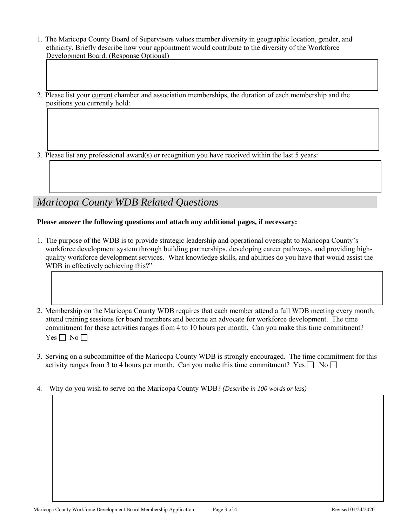- 1. The Maricopa County Board of Supervisors values member diversity in geographic location, gender, and ethnicity. Briefly describe how your appointment would contribute to the diversity of the Workforce Development Board. (Response Optional)
- 2. Please list your current chamber and association memberships, the duration of each membership and the positions you currently hold:

3. Please list any professional award(s) or recognition you have received within the last 5 years:

## *Maricopa County WDB Related Questions*

#### **Please answer the following questions and attach any additional pages, if necessary:**

- 1. The purpose of the WDB is to provide strategic leadership and operational oversight to Maricopa County's workforce development system through building partnerships, developing career pathways, and providing highquality workforce development services. What knowledge skills, and abilities do you have that would assist the WDB in effectively achieving this?"
- 2. Membership on the Maricopa County WDB requires that each member attend a full WDB meeting every month, attend training sessions for board members and become an advocate for workforce development. The time commitment for these activities ranges from 4 to 10 hours per month. Can you make this time commitment?  $Yes \Box No \Box$
- 3. Serving on a subcommittee of the Maricopa County WDB is strongly encouraged. The time commitment for this activity ranges from 3 to 4 hours per month. Can you make this time commitment? Yes  $\Box$  No  $\Box$
- 4. Why do you wish to serve on the Maricopa County WDB? *(Describe in 100 words or less)*